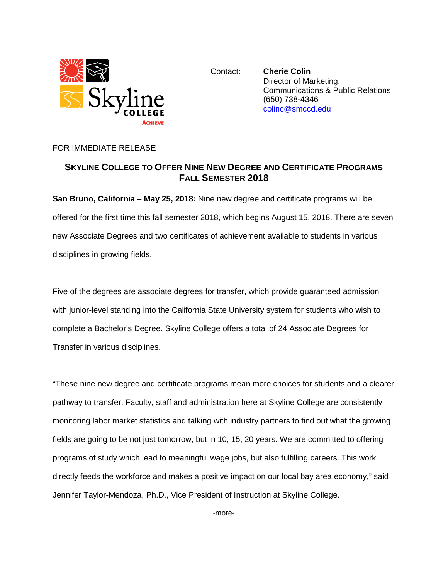

Contact: **Cherie Colin** Director of Marketing, Communications & Public Relations (650) 738-4346 [colinc@smccd.edu](mailto:colinc@smccd.edu) 

### FOR IMMEDIATE RELEASE

# **SKYLINE COLLEGE TO OFFER NINE NEW DEGREE AND CERTIFICATE PROGRAMS FALL SEMESTER 2018**

**San Bruno, California – May 25, 2018:** Nine new degree and certificate programs will be offered for the first time this fall semester 2018, which begins August 15, 2018. There are seven new Associate Degrees and two certificates of achievement available to students in various disciplines in growing fields.

Five of the degrees are associate degrees for transfer, which provide guaranteed admission with junior-level standing into the California State University system for students who wish to complete a Bachelor's Degree. Skyline College offers a total of 24 Associate Degrees for Transfer in various disciplines.

"These nine new degree and certificate programs mean more choices for students and a clearer pathway to transfer. Faculty, staff and administration here at Skyline College are consistently monitoring labor market statistics and talking with industry partners to find out what the growing fields are going to be not just tomorrow, but in 10, 15, 20 years. We are committed to offering programs of study which lead to meaningful wage jobs, but also fulfilling careers. This work directly feeds the workforce and makes a positive impact on our local bay area economy," said Jennifer Taylor-Mendoza, Ph.D., Vice President of Instruction at Skyline College.

-more-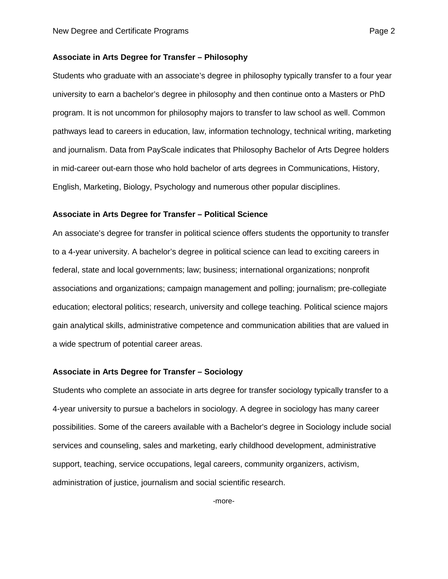#### **Associate in Arts Degree for Transfer – Philosophy**

Students who graduate with an associate's degree in philosophy typically transfer to a four year university to earn a bachelor's degree in philosophy and then continue onto a Masters or PhD program. It is not uncommon for philosophy majors to transfer to law school as well. Common pathways lead to careers in education, law, information technology, technical writing, marketing and journalism. Data from PayScale indicates that Philosophy Bachelor of Arts Degree holders in mid-career out-earn those who hold bachelor of arts degrees in Communications, History, English, Marketing, Biology, Psychology and numerous other popular disciplines.

#### **Associate in Arts Degree for Transfer – Political Science**

An associate's degree for transfer in political science offers students the opportunity to transfer to a 4-year university. A bachelor's degree in political science can lead to exciting careers in federal, state and local governments; law; business; international organizations; nonprofit associations and organizations; campaign management and polling; journalism; pre-collegiate education; electoral politics; research, university and college teaching. Political science majors gain analytical skills, administrative competence and communication abilities that are valued in a wide spectrum of potential career areas.

#### **Associate in Arts Degree for Transfer – Sociology**

Students who complete an associate in arts degree for transfer sociology typically transfer to a 4-year university to pursue a bachelors in sociology. A degree in sociology has many career possibilities. Some of the careers available with a Bachelor's degree in Sociology include social services and counseling, sales and marketing, early childhood development, administrative support, teaching, service occupations, legal careers, community organizers, activism, administration of justice, journalism and social scientific research.

-more-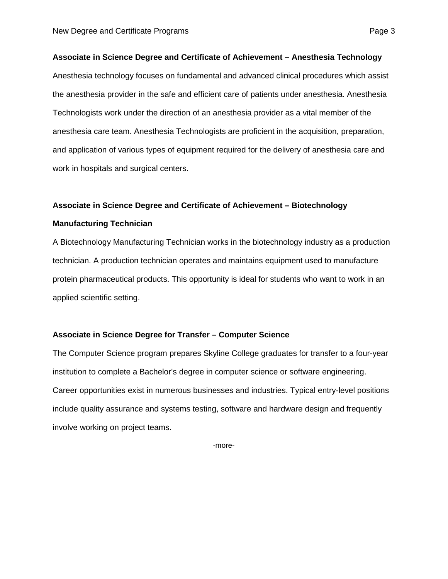#### **Associate in Science Degree and Certificate of Achievement – Anesthesia Technology**

Anesthesia technology focuses on fundamental and advanced clinical procedures which assist the anesthesia provider in the safe and efficient care of patients under anesthesia. Anesthesia Technologists work under the direction of an anesthesia provider as a vital member of the anesthesia care team. Anesthesia Technologists are proficient in the acquisition, preparation, and application of various types of equipment required for the delivery of anesthesia care and work in hospitals and surgical centers.

## **Associate in Science Degree and Certificate of Achievement – Biotechnology**

#### **Manufacturing Technician**

A Biotechnology Manufacturing Technician works in the biotechnology industry as a production technician. A production technician operates and maintains equipment used to manufacture protein pharmaceutical products. This opportunity is ideal for students who want to work in an applied scientific setting.

#### **Associate in Science Degree for Transfer – Computer Science**

The Computer Science program prepares Skyline College graduates for transfer to a four-year institution to complete a Bachelor's degree in computer science or software engineering. Career opportunities exist in numerous businesses and industries. Typical entry-level positions include quality assurance and systems testing, software and hardware design and frequently involve working on project teams.

-more-